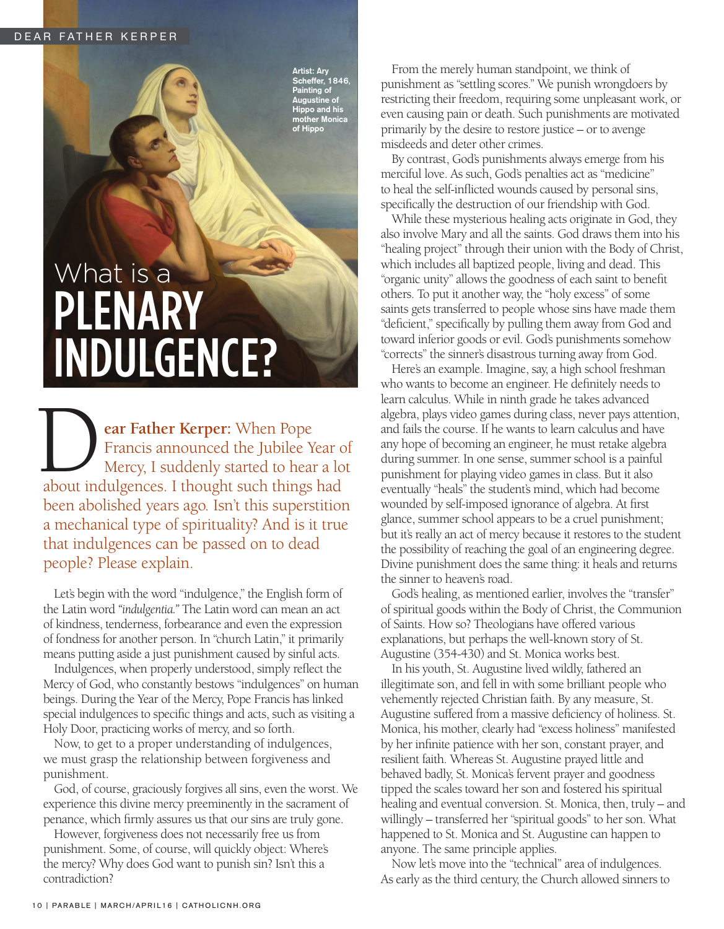Artist: Ary Scheffer, 1846, Painting of Augustine of Hippo and his mother Monica of Hippo

## What is a PLENARY INDULGENCE?

**EXECUTE: EXECUTE:** When Pope<br>Francis announced the Jubilee Year component of Mercy, I suddenly started to hear a lo<br>about indulgences. I thought such things had **ear Father Kerper:** When Pope Francis announced the Jubilee Year of Mercy, I suddenly started to hear a lot been abolished years ago. Isn't this superstition a mechanical type of spirituality? And is it true that indulgences can be passed on to dead people? Please explain.

Let's begin with the word "indulgence," the English form of the Latin word *"indulgentia."* The Latin word can mean an act of kindness, tenderness, forbearance and even the expression of fondness for another person. In "church Latin," it primarily means putting aside a just punishment caused by sinful acts.

Indulgences, when properly understood, simply reflect the Mercy of God, who constantly bestows "indulgences" on human beings. During the Year of the Mercy, Pope Francis has linked special indulgences to specific things and acts, such as visiting a Holy Door, practicing works of mercy, and so forth.

Now, to get to a proper understanding of indulgences, we must grasp the relationship between forgiveness and punishment.

God, of course, graciously forgives all sins, even the worst. We experience this divine mercy preeminently in the sacrament of penance, which firmly assures us that our sins are truly gone.

However, forgiveness does not necessarily free us from punishment. Some, of course, will quickly object: Where's the mercy? Why does God want to punish sin? Isn't this a contradiction?

From the merely human standpoint, we think of punishment as "settling scores." We punish wrongdoers by restricting their freedom, requiring some unpleasant work, or even causing pain or death. Such punishments are motivated primarily by the desire to restore justice – or to avenge misdeeds and deter other crimes.

By contrast, God's punishments always emerge from his merciful love. As such, God's penalties act as "medicine" to heal the self-inflicted wounds caused by personal sins, specifically the destruction of our friendship with God.

While these mysterious healing acts originate in God, they also involve Mary and all the saints. God draws them into his "healing project" through their union with the Body of Christ, which includes all baptized people, living and dead. This "organic unity" allows the goodness of each saint to benefit others. To put it another way, the "holy excess" of some saints gets transferred to people whose sins have made them "deficient," specifically by pulling them away from God and toward inferior goods or evil. God's punishments somehow "corrects" the sinner's disastrous turning away from God.

Here's an example. Imagine, say, a high school freshman who wants to become an engineer. He definitely needs to learn calculus. While in ninth grade he takes advanced algebra, plays video games during class, never pays attention, and fails the course. If he wants to learn calculus and have any hope of becoming an engineer, he must retake algebra during summer. In one sense, summer school is a painful punishment for playing video games in class. But it also eventually "heals" the student's mind, which had become wounded by self-imposed ignorance of algebra. At first glance, summer school appears to be a cruel punishment; but it's really an act of mercy because it restores to the student the possibility of reaching the goal of an engineering degree. Divine punishment does the same thing: it heals and returns the sinner to heaven's road.

God's healing, as mentioned earlier, involves the "transfer" of spiritual goods within the Body of Christ, the Communion of Saints. How so? Theologians have offered various explanations, but perhaps the well-known story of St. Augustine (354-430) and St. Monica works best.

In his youth, St. Augustine lived wildly, fathered an illegitimate son, and fell in with some brilliant people who vehemently rejected Christian faith. By any measure, St. Augustine suffered from a massive deficiency of holiness. St. Monica, his mother, clearly had "excess holiness" manifested by her infinite patience with her son, constant prayer, and resilient faith. Whereas St. Augustine prayed little and behaved badly, St. Monica's fervent prayer and goodness tipped the scales toward her son and fostered his spiritual healing and eventual conversion. St. Monica, then, truly – and willingly – transferred her "spiritual goods" to her son. What happened to St. Monica and St. Augustine can happen to anyone. The same principle applies.

Now let's move into the "technical" area of indulgences. As early as the third century, the Church allowed sinners to